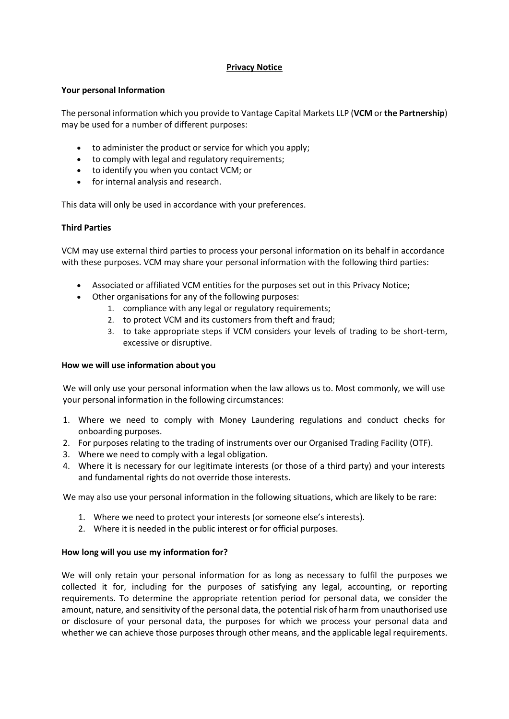## **Privacy Notice**

## **Your personal Information**

The personal information which you provide to Vantage Capital Markets LLP (**VCM** or **the Partnership**) may be used for a number of different purposes:

- to administer the product or service for which you apply;
- to comply with legal and regulatory requirements;
- to identify you when you contact VCM; or
- for internal analysis and research.

This data will only be used in accordance with your preferences.

## **Third Parties**

VCM may use external third parties to process your personal information on its behalf in accordance with these purposes. VCM may share your personal information with the following third parties:

- Associated or affiliated VCM entities for the purposes set out in this Privacy Notice;
- Other organisations for any of the following purposes:
	- 1. compliance with any legal or regulatory requirements;
	- 2. to protect VCM and its customers from theft and fraud;
	- 3. to take appropriate steps if VCM considers your levels of trading to be short-term, excessive or disruptive.

# **How we will use information about you**

We will only use your personal information when the law allows us to. Most commonly, we will use your personal information in the following circumstances:

- 1. Where we need to comply with Money Laundering regulations and conduct checks for onboarding purposes.
- 2. For purposes relating to the trading of instruments over our Organised Trading Facility (OTF).
- 3. Where we need to comply with a legal obligation.
- 4. Where it is necessary for our legitimate interests (or those of a third party) and your interests and fundamental rights do not override those interests.

We may also use your personal information in the following situations, which are likely to be rare:

- 1. Where we need to protect your interests (or someone else's interests).
- 2. Where it is needed in the public interest or for official purposes.

# **How long will you use my information for?**

We will only retain your personal information for as long as necessary to fulfil the purposes we collected it for, including for the purposes of satisfying any legal, accounting, or reporting requirements. To determine the appropriate retention period for personal data, we consider the amount, nature, and sensitivity of the personal data, the potential risk of harm from unauthorised use or disclosure of your personal data, the purposes for which we process your personal data and whether we can achieve those purposes through other means, and the applicable legal requirements.